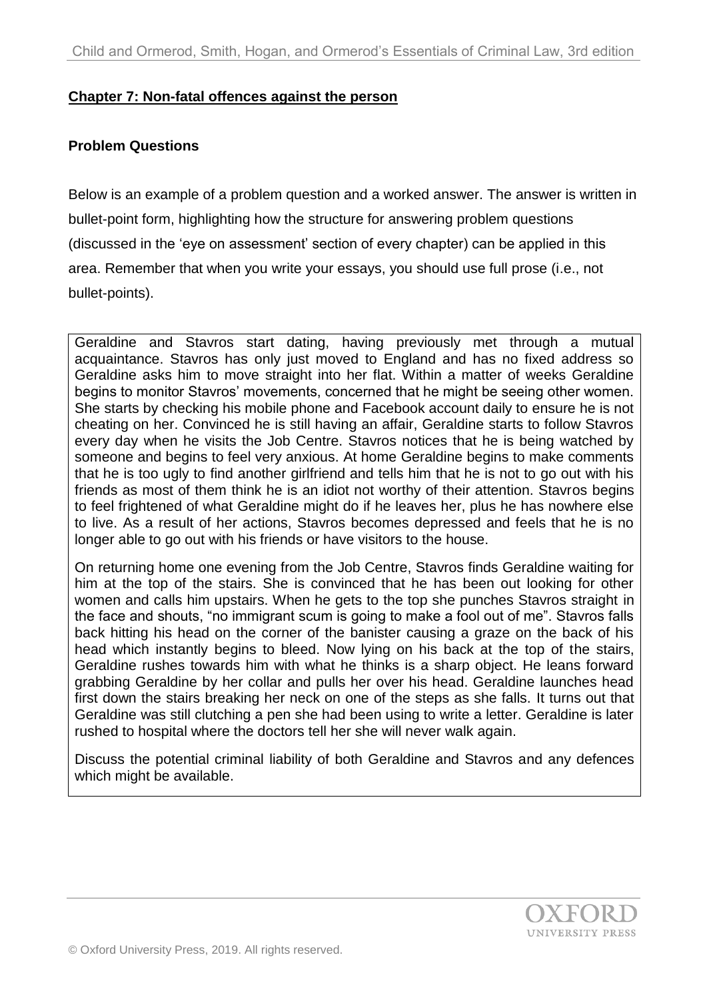#### **Chapter 7: Non-fatal offences against the person**

#### **Problem Questions**

Below is an example of a problem question and a worked answer. The answer is written in bullet-point form, highlighting how the structure for answering problem questions (discussed in the 'eye on assessment' section of every chapter) can be applied in this area. Remember that when you write your essays, you should use full prose (i.e., not bullet-points).

Geraldine and Stavros start dating, having previously met through a mutual acquaintance. Stavros has only just moved to England and has no fixed address so Geraldine asks him to move straight into her flat. Within a matter of weeks Geraldine begins to monitor Stavros' movements, concerned that he might be seeing other women. She starts by checking his mobile phone and Facebook account daily to ensure he is not cheating on her. Convinced he is still having an affair, Geraldine starts to follow Stavros every day when he visits the Job Centre. Stavros notices that he is being watched by someone and begins to feel very anxious. At home Geraldine begins to make comments that he is too ugly to find another girlfriend and tells him that he is not to go out with his friends as most of them think he is an idiot not worthy of their attention. Stavros begins to feel frightened of what Geraldine might do if he leaves her, plus he has nowhere else to live. As a result of her actions, Stavros becomes depressed and feels that he is no longer able to go out with his friends or have visitors to the house.

On returning home one evening from the Job Centre, Stavros finds Geraldine waiting for him at the top of the stairs. She is convinced that he has been out looking for other women and calls him upstairs. When he gets to the top she punches Stavros straight in the face and shouts, "no immigrant scum is going to make a fool out of me". Stavros falls back hitting his head on the corner of the banister causing a graze on the back of his head which instantly begins to bleed. Now lying on his back at the top of the stairs, Geraldine rushes towards him with what he thinks is a sharp object. He leans forward grabbing Geraldine by her collar and pulls her over his head. Geraldine launches head first down the stairs breaking her neck on one of the steps as she falls. It turns out that Geraldine was still clutching a pen she had been using to write a letter. Geraldine is later rushed to hospital where the doctors tell her she will never walk again.

Discuss the potential criminal liability of both Geraldine and Stavros and any defences which might be available.

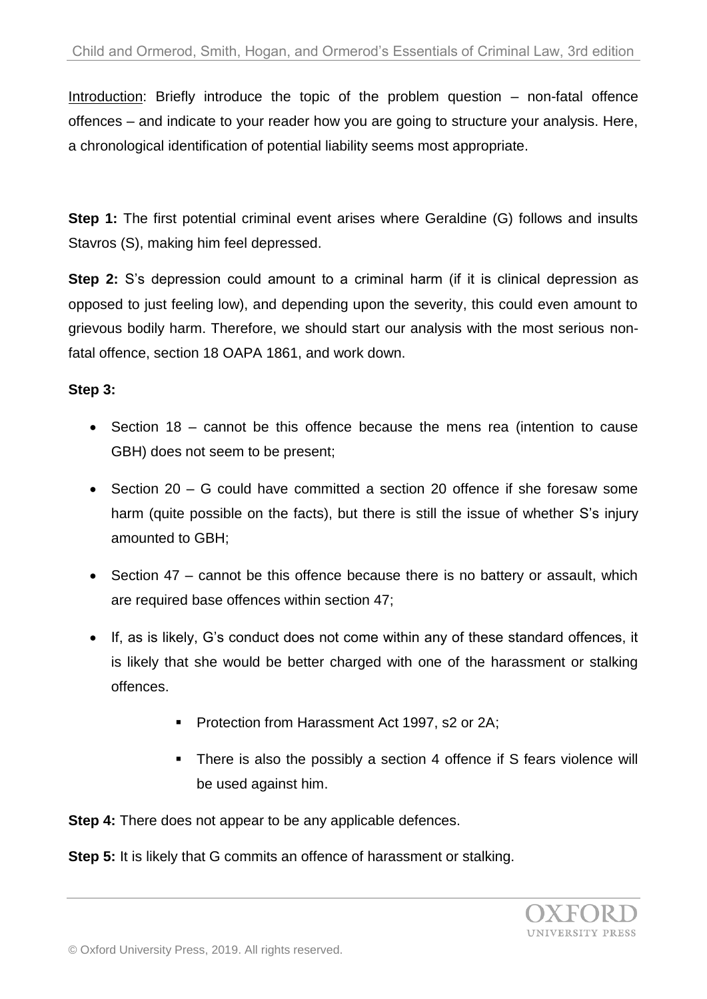Introduction: Briefly introduce the topic of the problem question – non-fatal offence offences – and indicate to your reader how you are going to structure your analysis. Here, a chronological identification of potential liability seems most appropriate.

**Step 1:** The first potential criminal event arises where Geraldine (G) follows and insults Stavros (S), making him feel depressed.

**Step 2:** S's depression could amount to a criminal harm (if it is clinical depression as opposed to just feeling low), and depending upon the severity, this could even amount to grievous bodily harm. Therefore, we should start our analysis with the most serious nonfatal offence, section 18 OAPA 1861, and work down.

## **Step 3:**

- Section 18 cannot be this offence because the mens rea (intention to cause GBH) does not seem to be present;
- Section 20 G could have committed a section 20 offence if she foresaw some harm (quite possible on the facts), but there is still the issue of whether S's injury amounted to GBH;
- Section 47 cannot be this offence because there is no battery or assault, which are required base offences within section 47;
- If, as is likely, G's conduct does not come within any of these standard offences, it is likely that she would be better charged with one of the harassment or stalking offences.
	- Protection from Harassment Act 1997, s2 or 2A;
	- There is also the possibly a section 4 offence if S fears violence will be used against him.

**Step 4:** There does not appear to be any applicable defences.

**Step 5:** It is likely that G commits an offence of harassment or stalking.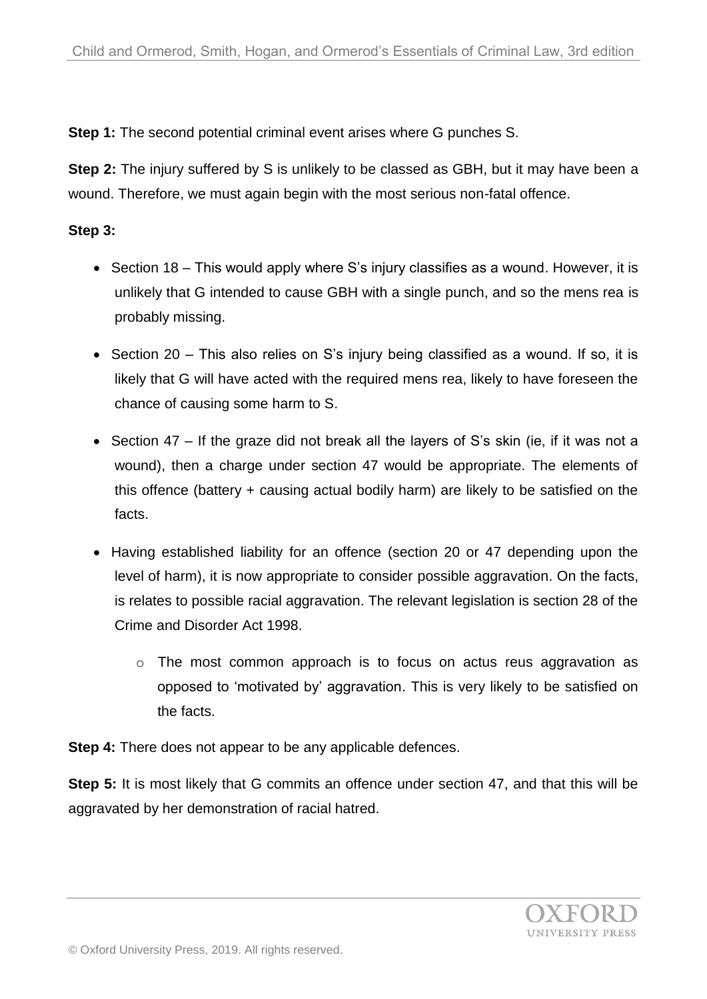**Step 1:** The second potential criminal event arises where G punches S.

**Step 2:** The injury suffered by S is unlikely to be classed as GBH, but it may have been a wound. Therefore, we must again begin with the most serious non-fatal offence.

# **Step 3:**

- Section 18 This would apply where S's injury classifies as a wound. However, it is unlikely that G intended to cause GBH with a single punch, and so the mens rea is probably missing.
- Section 20 This also relies on S's injury being classified as a wound. If so, it is likely that G will have acted with the required mens rea, likely to have foreseen the chance of causing some harm to S.
- Section 47 If the graze did not break all the layers of S's skin (ie, if it was not a wound), then a charge under section 47 would be appropriate. The elements of this offence (battery + causing actual bodily harm) are likely to be satisfied on the facts.
- Having established liability for an offence (section 20 or 47 depending upon the level of harm), it is now appropriate to consider possible aggravation. On the facts, is relates to possible racial aggravation. The relevant legislation is section 28 of the Crime and Disorder Act 1998.
	- o The most common approach is to focus on actus reus aggravation as opposed to 'motivated by' aggravation. This is very likely to be satisfied on the facts.

**Step 4:** There does not appear to be any applicable defences.

**Step 5:** It is most likely that G commits an offence under section 47, and that this will be aggravated by her demonstration of racial hatred.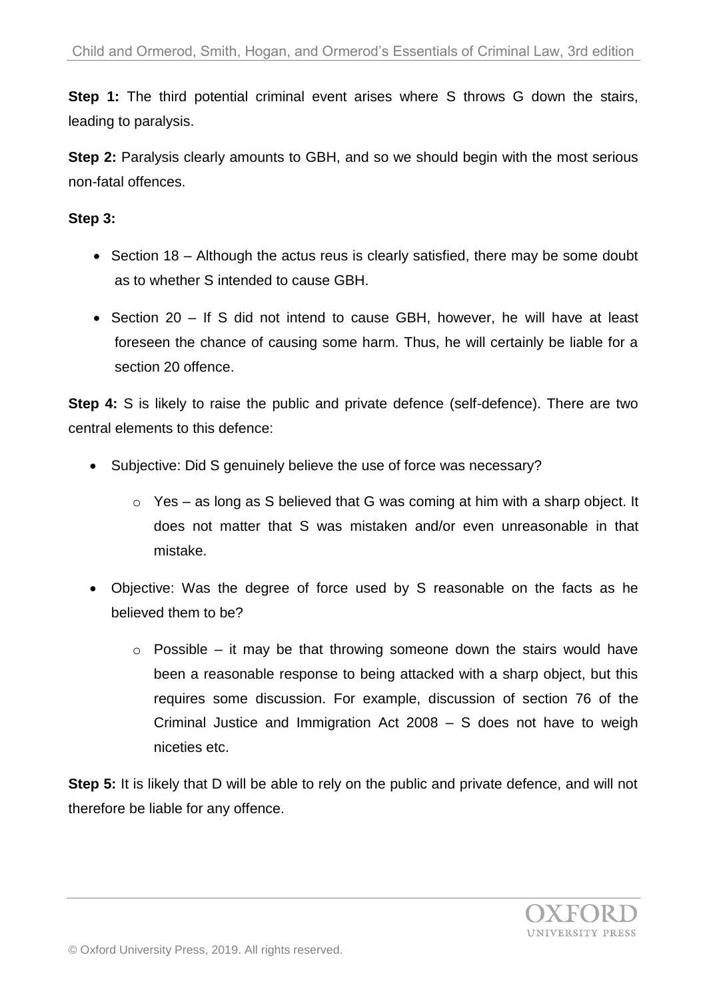**Step 1:** The third potential criminal event arises where S throws G down the stairs, leading to paralysis.

**Step 2:** Paralysis clearly amounts to GBH, and so we should begin with the most serious non-fatal offences.

## **Step 3:**

- $\bullet$  Section 18 Although the actus reus is clearly satisfied, there may be some doubt as to whether S intended to cause GBH.
- Section 20 If S did not intend to cause GBH, however, he will have at least foreseen the chance of causing some harm. Thus, he will certainly be liable for a section 20 offence.

**Step 4:** S is likely to raise the public and private defence (self-defence). There are two central elements to this defence:

- Subjective: Did S genuinely believe the use of force was necessary?
	- $\circ$  Yes as long as S believed that G was coming at him with a sharp object. It does not matter that S was mistaken and/or even unreasonable in that mistake.
- Objective: Was the degree of force used by S reasonable on the facts as he believed them to be?
	- $\circ$  Possible it may be that throwing someone down the stairs would have been a reasonable response to being attacked with a sharp object, but this requires some discussion. For example, discussion of section 76 of the Criminal Justice and Immigration Act 2008 – S does not have to weigh niceties etc.

**Step 5:** It is likely that D will be able to rely on the public and private defence, and will not therefore be liable for any offence.

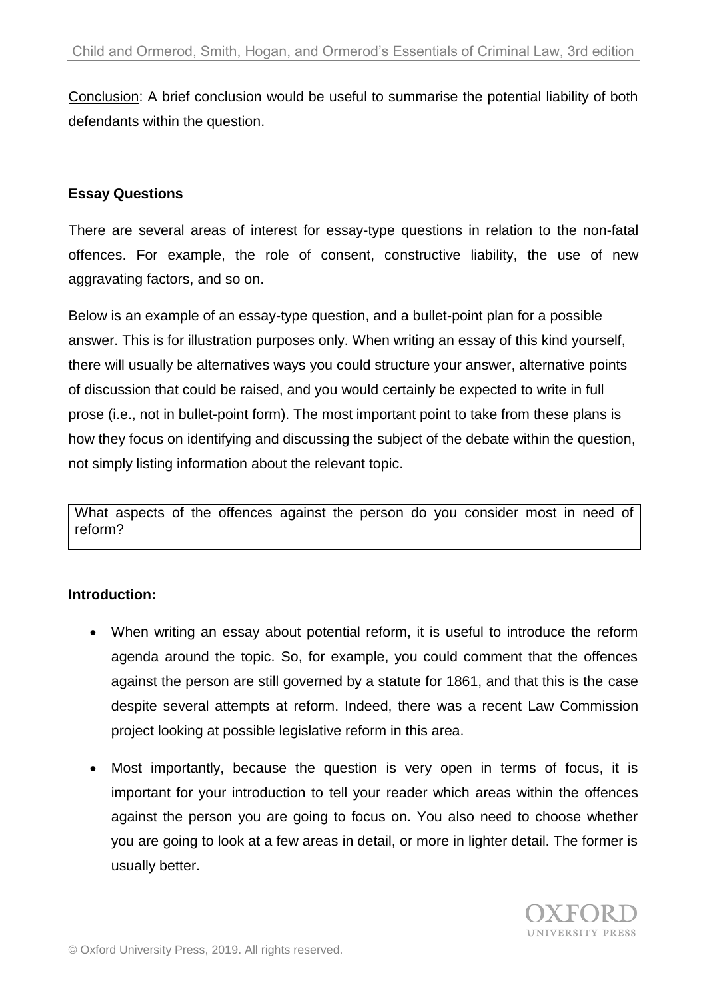Conclusion: A brief conclusion would be useful to summarise the potential liability of both defendants within the question.

#### **Essay Questions**

There are several areas of interest for essay-type questions in relation to the non-fatal offences. For example, the role of consent, constructive liability, the use of new aggravating factors, and so on.

Below is an example of an essay-type question, and a bullet-point plan for a possible answer. This is for illustration purposes only. When writing an essay of this kind yourself, there will usually be alternatives ways you could structure your answer, alternative points of discussion that could be raised, and you would certainly be expected to write in full prose (i.e., not in bullet-point form). The most important point to take from these plans is how they focus on identifying and discussing the subject of the debate within the question, not simply listing information about the relevant topic.

What aspects of the offences against the person do you consider most in need of reform?

## **Introduction:**

- When writing an essay about potential reform, it is useful to introduce the reform agenda around the topic. So, for example, you could comment that the offences against the person are still governed by a statute for 1861, and that this is the case despite several attempts at reform. Indeed, there was a recent Law Commission project looking at possible legislative reform in this area.
- Most importantly, because the question is very open in terms of focus, it is important for your introduction to tell your reader which areas within the offences against the person you are going to focus on. You also need to choose whether you are going to look at a few areas in detail, or more in lighter detail. The former is usually better.